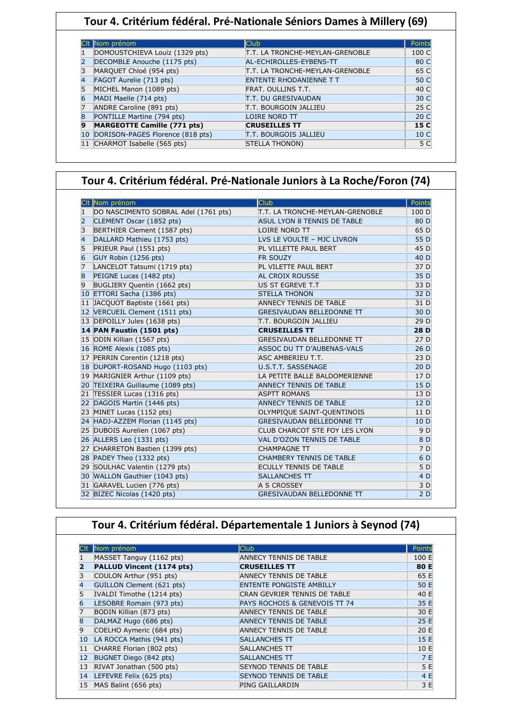### **Tour 4. Critérium fédéral. Pré-Nationale Séniors Dames à Millery (69)**

|    | CIt Nom prénom                     | <b>Club</b>                     | Points          |
|----|------------------------------------|---------------------------------|-----------------|
|    | DOMOUSTCHIEVA Louiz (1329 pts)     | T.T. LA TRONCHE-MEYLAN-GRENOBLE | 100 C           |
|    | DECOMBLE Anouche (1175 pts)        | AL-ECHIROLLES-EYBENS-TT         | 80 C            |
|    | MARQUET Chloé (954 pts)            | T.T. LA TRONCHE-MEYLAN-GRENOBLE | 65 C            |
|    | FAGOT Aurelie (713 pts)            | ENTENTE RHODANIENNE T T         | 50 C            |
|    | MICHEL Manon (1089 pts)            | <b>FRAT. OULLINS T.T.</b>       | 40 C            |
| 6  | MADI Maelle (714 pts)              | T.T. DU GRESIVAUDAN             | 30 C            |
|    | ANDRE Caroline (891 pts)           | IT.T. BOURGOIN JALLIEU          | 25 C            |
| 8  | PONTILLE Martine (794 pts)         | <b>LOIRE NORD TT</b>            | 20 C            |
| 9  | <b>MARGEOTTE Camille (771 pts)</b> | <b>CRUSEILLES TT</b>            | 15 C            |
| 10 | DORISON-PAGES Florence (818 pts)   | IT.T. BOURGOIS JALLIEU          | 10 <sub>C</sub> |
|    | 11 CHARMOT Isabelle (565 pts)      | <b>STELLA THONON)</b>           | 5 C             |

### **Tour 4. Critérium fédéral. Pré-Nationale Juniors à La Roche/Foron (74)**

| Nom prénom                                 | <b>Club</b>                      | Points          |
|--------------------------------------------|----------------------------------|-----------------|
| DO NASCIMENTO SOBRAL Adel (1761 pts)       | T.T. LA TRONCHE-MEYLAN-GRENOBLE  | 100 D           |
| $\overline{2}$<br>CLEMENT Oscar (1852 pts) | ASUL LYON 8 TENNIS DE TABLE      | 80 D            |
| 3<br>BERTHIER Clement (1587 pts)           | LOIRE NORD TT                    | 65 D            |
| 4<br>DALLARD Mathieu (1753 pts)            | LVS LE VOULTE - MJC LIVRON       | 55 D            |
| 5<br>PRIEUR Paul (1551 pts)                | PL VILLETTE PAUL BERT            | 45 D            |
| 6<br>GUY Robin (1256 pts)                  | <b>FR SOUZY</b>                  | 40 D            |
| 7<br>LANCELOT Tatsumi (1719 pts)           | PL VILETTE PAUL BERT             | 37 D            |
| 8<br>PEIGNE Lucas (1482 pts)               | AL CROIX ROUSSE                  | 35 D            |
| 9<br>BUGLIERY Quentin (1662 pts)           | US ST EGREVE T.T                 | 33 D            |
| 10 ETTORI Sacha (1386 pts)                 | <b>STELLA THONON</b>             | 32 D            |
| 11 JACQUOT Baptiste (1661 pts)             | <b>ANNECY TENNIS DE TABLE</b>    | 31 D            |
| 12 VERCUEIL Clement (1511 pts)             | <b>GRESIVAUDAN BELLEDONNE TT</b> | 30 D            |
| 13 DEPOILLY Jules (1638 pts)               | IT.T. BOURGOIN JALLIEU           | 29 D            |
| 14 PAN Faustin (1501 pts)                  | <b>CRUSEILLES TT</b>             | <b>28D</b>      |
| 15 ODIN Killian (1567 pts)                 | <b>GRESIVAUDAN BELLEDONNE TT</b> | 27 D            |
| 16 ROME Alexis (1085 pts)                  | ASSOC DU TT D'AUBENAS-VALS       | 26D             |
| 17 PERRIN Corentin (1218 pts)              | ASC AMBERIEU T.T.                | 23 D            |
| 18 DUPORT-ROSAND Hugo (1103 pts)           | U.S.T.T. SASSENAGE               | 20D             |
| 19 MARIGNIER Arthur (1109 pts)             | LA PETITE BALLE BALDOMERIENNE    | 17 D            |
| 20 TEIXEIRA Guillaume (1089 pts)           | <b>ANNECY TENNIS DE TABLE</b>    | 15 D            |
| 21 TESSIER Lucas (1316 pts)                | <b>ASPTT ROMANS</b>              | 13 D            |
| 22 DAGOIS Martin (1446 pts)                | <b>ANNECY TENNIS DE TABLE</b>    | 12 D            |
| 23 MINET Lucas (1152 pts)                  | OLYMPIQUE SAINT-QUENTINOIS       | 11 D            |
| 24 HADJ-AZZEM Florian (1145 pts)           | <b>GRESIVAUDAN BELLEDONNE TT</b> | 10 <sub>D</sub> |
| 25 DUBOIS Aurelien (1067 pts)              | CLUB CHARCOT STE FOY LES LYON    | 9 D             |
| 26 ALLERS Leo (1331 pts)                   | VAL D'OZON TENNIS DE TABLE       | 8 D             |
| 27 CHARRETON Bastien (1399 pts)            | <b>CHAMPAGNE TT</b>              | 7 D             |
| 28 PADEY Theo (1332 pts)                   | <b>CHAMBERY TENNIS DE TABLE</b>  | 6 D             |
| 29 SOULHAC Valentin (1279 pts)             | <b>ECULLY TENNIS DE TABLE</b>    | 5 D             |
| 30 WALLON Gauthier (1043 pts)              | <b>SALLANCHES TT</b>             | 4 D             |
| 31 GARAVEL Lucien (776 pts)                | A S CROSSEY                      | 3 D             |
| 32 BIZEC Nicolas (1420 pts)                | <b>GRESIVAUDAN BELLEDONNE TT</b> | 2D              |

|    | Tour 4. Critérium fédéral. Départementale 1 Juniors à Seynod (74) |                                 |        |  |  |
|----|-------------------------------------------------------------------|---------------------------------|--------|--|--|
|    |                                                                   |                                 |        |  |  |
|    | Nom prénom                                                        | <b>Club</b>                     | Points |  |  |
|    | MASSET Tanguy (1162 pts)                                          | ANNECY TENNIS DE TABLE          | 100 E  |  |  |
|    | PALLUD Vincent (1174 pts)                                         | <b>CRUSEILLES TT</b>            | 80 E   |  |  |
|    | COULON Arthur (951 pts)                                           | ANNECY TENNIS DE TABLE          | 65 E   |  |  |
|    | GUILLON Clement (621 pts)                                         | <b>ENTENTE PONGISTE AMBILLY</b> | 50 E   |  |  |
|    | IVALDI Timothe (1214 pts)                                         | CRAN GEVRIER TENNIS DE TABLE    | 40 E   |  |  |
| 6  | LESOBRE Romain (973 pts)                                          | PAYS ROCHOIS & GENEVOIS TT 74   | 35 E   |  |  |
|    | BODIN Killian (873 pts)                                           | <b>ANNECY TENNIS DE TABLE</b>   | 30 E   |  |  |
| 8  | DALMAZ Hugo (686 pts)                                             | <b>ANNECY TENNIS DE TABLE</b>   | 25 E   |  |  |
| 9  | COELHO Aymeric (684 pts)                                          | ANNECY TENNIS DE TABLE          | 20 E   |  |  |
| 10 | LA ROCCA Mathis (941 pts)                                         | SALLANCHES TT                   | 15 E   |  |  |
| 11 | CHARRE Florian (802 pts)                                          | SALLANCHES TT                   | 10 E   |  |  |
| 12 | BUGNET Diego (842 pts)                                            | SALLANCHES TT                   | 7 E    |  |  |
| 13 | RIVAT Jonathan (500 pts)                                          | <b>SEYNOD TENNIS DE TABLE</b>   | 5 E    |  |  |
| 14 | LEFEVRE Felix (625 pts)                                           | <b>SEYNOD TENNIS DE TABLE</b>   | 4 E    |  |  |
|    | MAS Balint (656 pts)                                              | <b>PING GAILLARDIN</b>          | 3 E    |  |  |

Ι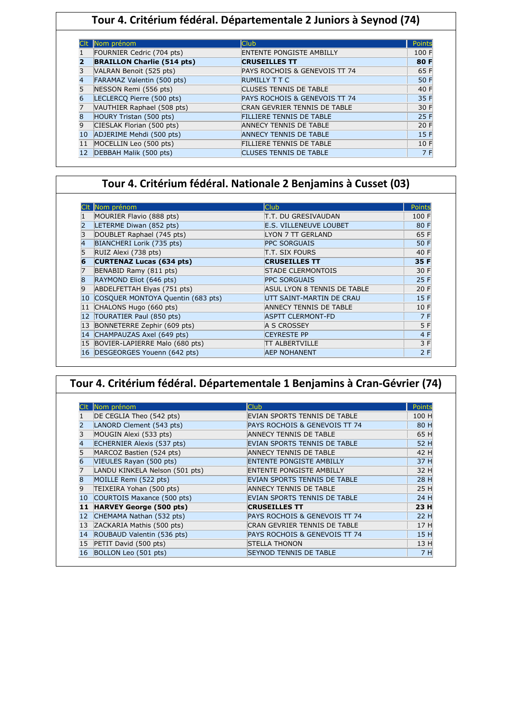|   | Nom prénom                        | <b>Club</b>                     | Points |
|---|-----------------------------------|---------------------------------|--------|
|   | FOURNIER Cedric (704 pts)         | <b>ENTENTE PONGISTE AMBILLY</b> | 100 F  |
| 7 | <b>BRAILLON Charlie (514 pts)</b> | <b>CRUSEILLES TT</b>            | 80 F   |
|   | VALRAN Benoit (525 pts)           | PAYS ROCHOIS & GENEVOIS TT 74   | 65 F   |
| 4 | <b>FARAMAZ Valentin (500 pts)</b> | <b>RUMILLY T T C</b>            | 50 F   |
|   | NESSON Remi (556 pts)             | <b>CLUSES TENNIS DE TABLE</b>   | 40 F   |
|   | LECLERCO Pierre (500 pts)         | PAYS ROCHOIS & GENEVOIS TT 74   | 35 F   |
|   | VAUTHIER Raphael (508 pts)        | CRAN GEVRIER TENNIS DE TABLE    | 30 F   |
|   | HOURY Tristan (500 pts)           | <b>FILLIERE TENNIS DE TABLE</b> | 25 F   |
| q | CIESLAK Florian (500 pts)         | <b>ANNECY TENNIS DE TABLE</b>   | 20 F   |
|   | ADJERIME Mehdi (500 pts)          | <b>ANNECY TENNIS DE TABLE</b>   | 15F    |
|   | MOCELLIN Leo (500 pts)            | <b>FILLIERE TENNIS DE TABLE</b> | 10F    |
|   | DEBBAH Malik (500 pts)            | <b>CLUSES TENNIS DE TABLE</b>   | 7 F    |

### **Tour 4. Critérium fédéral. Nationale 2 Benjamins à Cusset (03)**

|    | Nom prénom                        | <b>Club</b>                   | Points |
|----|-----------------------------------|-------------------------------|--------|
|    | MOURIER Flavio (888 pts)          | T.T. DU GRESIVAUDAN           | 100 F  |
|    | LETERME Diwan (852 pts)           | <b>E.S. VILLENEUVE LOUBET</b> | 80 F   |
| 3  | DOUBLET Raphael (745 pts)         | LYON 7 TT GERLAND             | 65 F   |
| 4  | BIANCHERI Lorik (735 pts)         | <b>PPC SORGUAIS</b>           | 50 F   |
| 5  | RUIZ Alexi (738 pts)              | IT.T. SIX FOURS               | 40 F   |
| 6  | <b>CURTENAZ Lucas (634 pts)</b>   | <b>CRUSEILLES TT</b>          | 35 F   |
| 7  | BENABID Ramy (811 pts)            | <b>STADE CLERMONTOIS</b>      | 30 F   |
| 8  | RAYMOND Eliot (646 pts)           | <b>PPC SORGUAIS</b>           | 25 F   |
| 9  | ABDELFETTAH Elyas (751 pts)       | ASUL LYON 8 TENNIS DE TABLE   | 20 F   |
| 10 | COSQUER MONTOYA Quentin (683 pts) | UTT SAINT-MARTIN DE CRAU      | 15F    |
| 11 | CHALONS Hugo (660 pts)            | <b>ANNECY TENNIS DE TABLE</b> | 10 F   |
| 12 | TOURATIER Paul (850 pts)          | <b>ASPTT CLERMONT-FD</b>      | 7 F    |
| 13 | BONNETERRE Zephir (609 pts)       | A S CROSSEY                   | 5F     |
|    | 14 CHAMPAUZAS Axel (649 pts)      | <b>CEYRESTE PP</b>            | 4 F    |
|    | 15 BOVIER-LAPIERRE Malo (680 pts) | <b>TT ALBERTVILLE</b>         | 3 F    |
|    | 16 DESGEORGES Youenn (642 pts)    | <b>AEP NOHANENT</b>           | 2F     |

# **Tour 4. Critérium fédéral. Départementale 1 Benjamins à Cran-Gévrier (74)**

|    | Nom prénom                     | <b>Club</b>                         | Points |
|----|--------------------------------|-------------------------------------|--------|
|    | DE CEGLIA Theo (542 pts)       | <b>EVIAN SPORTS TENNIS DE TABLE</b> | 100 H  |
|    | LANORD Clement (543 pts)       | PAYS ROCHOIS & GENEVOIS TT 74       | 80 H   |
|    | MOUGIN Alexi (533 pts)         | <b>ANNECY TENNIS DE TABLE</b>       | 65 H   |
|    | ECHERNIER Alexis (537 pts)     | EVIAN SPORTS TENNIS DE TABLE        | 52 H   |
|    | MARCOZ Bastien (524 pts)       | <b>ANNECY TENNIS DE TABLE</b>       | 42 H   |
|    | VIEULES Rayan (500 pts)        | <b>ENTENTE PONGISTE AMBILLY</b>     | 37 H   |
|    | LANDU KINKELA Nelson (501 pts) | <b>ENTENTE PONGISTE AMBILLY</b>     | 32 H   |
|    | MOILLE Remi (522 pts)          | EVIAN SPORTS TENNIS DE TABLE        | 28 H   |
| 9  | TEIXEIRA Yohan (500 pts)       | <b>ANNECY TENNIS DE TABLE</b>       | 25 H   |
| 10 | COURTOIS Maxance (500 pts)     | <b>EVIAN SPORTS TENNIS DE TABLE</b> | 24 H   |
| 11 | <b>HARVEY George (500 pts)</b> | <b>CRUSEILLES TT</b>                | 23 H   |
| 12 | CHEMAMA Nathan (532 pts)       | PAYS ROCHOIS & GENEVOIS TT 74       | 22 H   |
| 13 | ZACKARIA Mathis (500 pts)      | CRAN GEVRIER TENNIS DE TABLE        | 17 H   |
| 14 | ROUBAUD Valentin (536 pts)     | PAYS ROCHOIS & GENEVOIS TT 74       | 15 H   |
| 15 | PETIT David (500 pts)          | <b>ISTELLA THONON</b>               | 13 H   |
| 16 | BOLLON Leo (501 pts)           | <b>SEYNOD TENNIS DE TABLE</b>       | 7 H    |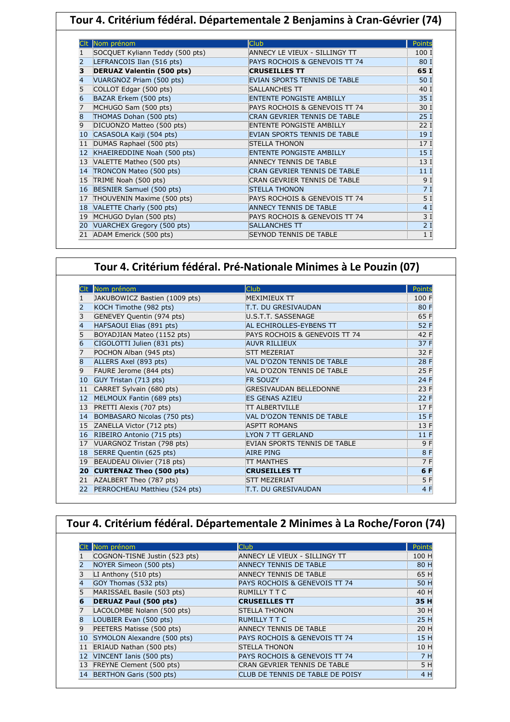|    | Tour 4. Critérium fédéral. Départementale 2 Benjamins à Cran-Gévrier (74) |                                     |                 |  |  |
|----|---------------------------------------------------------------------------|-------------------------------------|-----------------|--|--|
|    |                                                                           |                                     |                 |  |  |
|    | Nom prénom                                                                | <b>Club</b>                         | Points          |  |  |
|    | SOCQUET Kyliann Teddy (500 pts)                                           | ANNECY LE VIEUX - SILLINGY TT       | 100 I           |  |  |
| 2  | LEFRANCOIS Ilan (516 pts)                                                 | PAYS ROCHOIS & GENEVOIS TT 74       | 80 I            |  |  |
| з  | <b>DERUAZ Valentin (500 pts)</b>                                          | <b>CRUSEILLES TT</b>                | 65 I            |  |  |
| 4  | VUARGNOZ Priam (500 pts)                                                  | EVIAN SPORTS TENNIS DE TABLE        | 50 I            |  |  |
| 5  | COLLOT Edgar (500 pts)                                                    | SALLANCHES TT                       | 40 1            |  |  |
| 6  | BAZAR Erkem (500 pts)                                                     | <b>ENTENTE PONGISTE AMBILLY</b>     | 35 I            |  |  |
| 7  | MCHUGO Sam (500 pts)                                                      | PAYS ROCHOIS & GENEVOIS TT 74       | 30 I            |  |  |
| 8  | THOMAS Dohan (500 pts)                                                    | CRAN GEVRIER TENNIS DE TABLE        | 25I             |  |  |
| 9  | DICUONZO Matteo (500 pts)                                                 | <b>ENTENTE PONGISTE AMBILLY</b>     | 221             |  |  |
| 10 | CASASOLA Kaiji (504 pts)                                                  | <b>EVIAN SPORTS TENNIS DE TABLE</b> | 19]             |  |  |
| 11 | DUMAS Raphael (500 pts)                                                   | <b>STELLA THONON</b>                | 17 <sub>1</sub> |  |  |
| 12 | KHAEIREDDINE Noah (500 pts)                                               | <b>ENTENTE PONGISTE AMBILLY</b>     | 15 <sub>1</sub> |  |  |
|    | 13 VALETTE Matheo (500 pts)                                               | <b>ANNECY TENNIS DE TABLE</b>       | 13 I            |  |  |
| 14 | TRONCON Mateo (500 pts)                                                   | <b>CRAN GEVRIER TENNIS DE TABLE</b> | 11 <sub>1</sub> |  |  |
| 15 | TRIME Noah (500 pts)                                                      | CRAN GEVRIER TENNIS DE TABLE        | 9 I             |  |  |
| 16 | BESNIER Samuel (500 pts)                                                  | <b>STELLA THONON</b>                | 7I              |  |  |
| 17 | THOUVENIN Maxime (500 pts)                                                | PAYS ROCHOIS & GENEVOIS TT 74       | 5 <sub>1</sub>  |  |  |
| 18 | VALETTE Charly (500 pts)                                                  | <b>ANNECY TENNIS DE TABLE</b>       | 4 <sub>1</sub>  |  |  |
| 19 | MCHUGO Dylan (500 pts)                                                    | PAYS ROCHOIS & GENEVOIS TT 74       | 3I              |  |  |
| 20 | VUARCHEX Gregory (500 pts)                                                | <b>SALLANCHES TT</b>                | 2I              |  |  |
| 21 | ADAM Emerick (500 pts)                                                    | <b>SEYNOD TENNIS DE TABLE</b>       | 1 <sub>1</sub>  |  |  |

|                | Nom prénom                     | <b>Club</b>                   | <b>Points</b> |
|----------------|--------------------------------|-------------------------------|---------------|
|                | JAKUBOWICZ Bastien (1009 pts)  | MEXIMIEUX TT                  | 100 F         |
|                | KOCH Timothe (982 pts)         | <b>T.T. DU GRESIVAUDAN</b>    | 80 F          |
| 3              | GENEVEY Quentin (974 pts)      | U.S.T.T. SASSENAGE            | 65 F          |
| 4              | HAFSAOUI Elias (891 pts)       | AL ECHIROLLES-EYBENS TT       | 52 F          |
| 5              | BOYADJIAN Mateo (1152 pts)     | PAYS ROCHOIS & GENEVOIS TT 74 | 42 F          |
| $\overline{6}$ | CIGOLOTTI Julien (831 pts)     | <b>AUVR RILLIEUX</b>          | 37 F          |
| 7              | POCHON Alban (945 pts)         | <b>STT MEZERIAT</b>           | 32 F          |
| 8              | ALLERS Axel (893 pts)          | VAL D'OZON TENNIS DE TABLE    | 28 F          |
| 9              | FAURE Jerome (844 pts)         | VAL D'OZON TENNIS DE TABLE    | 25 F          |
| 10             | GUY Tristan (713 pts)          | <b>FR SOUZY</b>               | 24 F          |
| 11             | CARRET Sylvain (680 pts)       | <b>GRESIVAUDAN BELLEDONNE</b> | 23 F          |
| 12             | MELMOUX Fantin (689 pts)       | <b>ES GENAS AZIEU</b>         | 22F           |
| 13             | PRETTI Alexis (707 pts)        | <b>TT ALBERTVILLE</b>         | 17 F          |
| 14             | BOMBASARO Nicolas (750 pts)    | VAL D'OZON TENNIS DE TABLE    | 15 F          |
| 15             | ZANELLA Victor (712 pts)       | <b>ASPTT ROMANS</b>           | 13F           |
| 16             | RIBEIRO Antonio (715 pts)      | <b>LYON 7 TT GERLAND</b>      | 11F           |
| 17             | VUARGNOZ Tristan (798 pts)     | EVIAN SPORTS TENNIS DE TABLE  | 9 F           |
| 18             | SERRE Quentin (625 pts)        | <b>AIRE PING</b>              | 8 F           |
| 19             | BEAUDEAU Olivier (718 pts)     | <b>ITT MANTHES</b>            | 7 F           |
| 20             | <b>CURTENAZ Theo (500 pts)</b> | <b>CRUSEILLES TT</b>          | 6 F           |
| 21             | AZALBERT Theo (787 pts)        | <b>STT MEZERIAT</b>           | 5 F           |
| 22             | PERROCHEAU Matthieu (524 pts)  | <b>T.T. DU GRESIVAUDAN</b>    | 4 F           |

| Tour 4. Critérium fédéral. Départementale 2 Minimes à La Roche/Foron (74) |                                |                                  |        |  |
|---------------------------------------------------------------------------|--------------------------------|----------------------------------|--------|--|
|                                                                           |                                |                                  |        |  |
|                                                                           | Nom prénom                     | <b>Club</b>                      | Points |  |
|                                                                           | COGNON-TISNE Justin (523 pts)  | ANNECY LE VIEUX - SILLINGY TT    | 100 H  |  |
| 2                                                                         | NOYER Simeon (500 pts)         | <b>ANNECY TENNIS DE TABLE</b>    | 80 H   |  |
| 3                                                                         | LI Anthony $(510 \text{ pts})$ | ANNECY TENNIS DE TABLE           | 65 H   |  |
| 4                                                                         | GOY Thomas (532 pts)           | PAYS ROCHOIS & GENEVOIS TT 74    | 50 H   |  |
| 5                                                                         | MARISSAEL Basile (503 pts)     | <b>RUMILLY T T C</b>             | 40 H   |  |
| 6                                                                         | <b>DERUAZ Paul (500 pts)</b>   | <b>CRUSEILLES TT</b>             | 35 H   |  |
| 7                                                                         | LACOLOMBE Nolann (500 pts)     | <b>STELLA THONON</b>             | 30 H   |  |
| 8                                                                         | LOUBIER Evan (500 pts)         | <b>RUMILLY T T C</b>             | 25 H   |  |
| 9                                                                         | PEETERS Matisse (500 pts)      | ANNECY TENNIS DE TABLE           | 20 H   |  |
| 10                                                                        | SYMOLON Alexandre (500 pts)    | PAYS ROCHOIS & GENEVOIS TT 74    | 15 H   |  |
| 11                                                                        | ERIAUD Nathan (500 pts)        | <b>STELLA THONON</b>             | 10 H   |  |
| 12                                                                        | VINCENT Ianis (500 pts)        | PAYS ROCHOIS & GENEVOIS TT 74    | 7 H    |  |
| 13                                                                        | FREYNE Clement (500 pts)       | CRAN GEVRIER TENNIS DE TABLE     | 5H     |  |
| 14                                                                        | BERTHON Garis (500 pts)        | CLUB DE TENNIS DE TABLE DE POISY | 4 H    |  |